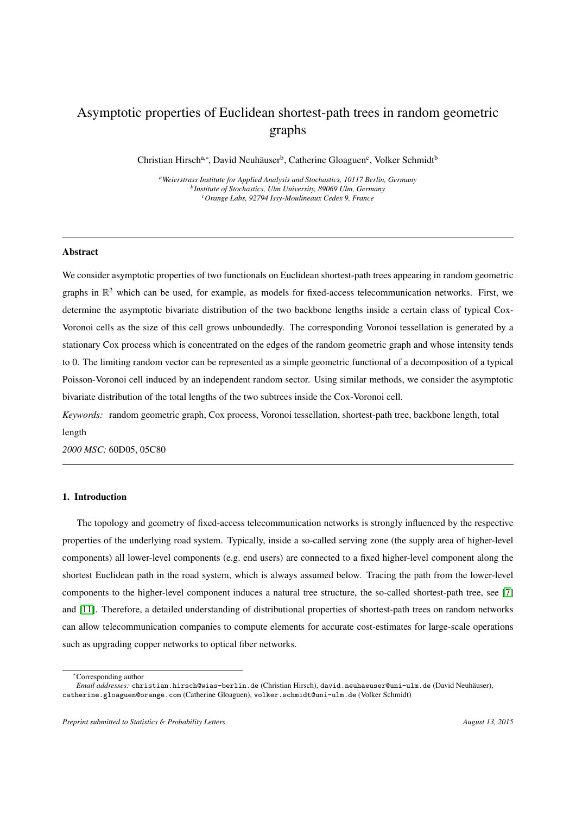# Asymptotic properties of Euclidean shortest-path trees in random geometric graphs

Christian Hirsch<sup>a,∗</sup>, David Neuhäuser<sup>b</sup>, Catherine Gloaguen<sup>c</sup>, Volker Schmidt<sup>b</sup>

*<sup>a</sup>Weierstrass Institute for Applied Analysis and Stochastics, 10117 Berlin, Germany b Institute of Stochastics, Ulm University, 89069 Ulm, Germany <sup>c</sup>Orange Labs, 92794 Issy-Moulineaux Cedex 9, France*

# Abstract

We consider asymptotic properties of two functionals on Euclidean shortest-path trees appearing in random geometric graphs in  $\mathbb{R}^2$  which can be used, for example, as models for fixed-access telecommunication networks. First, we determine the asymptotic bivariate distribution of the two backbone lengths inside a certain class of typical Cox-Voronoi cells as the size of this cell grows unboundedly. The corresponding Voronoi tessellation is generated by a stationary Cox process which is concentrated on the edges of the random geometric graph and whose intensity tends to 0. The limiting random vector can be represented as a simple geometric functional of a decomposition of a typical Poisson-Voronoi cell induced by an independent random sector. Using similar methods, we consider the asymptotic bivariate distribution of the total lengths of the two subtrees inside the Cox-Voronoi cell.

*Keywords:* random geometric graph, Cox process, Voronoi tessellation, shortest-path tree, backbone length, total length

*2000 MSC:* 60D05, 05C80

### 1. Introduction

The topology and geometry of fixed-access telecommunication networks is strongly influenced by the respective properties of the underlying road system. Typically, inside a so-called serving zone (the supply area of higher-level components) all lower-level components (e.g. end users) are connected to a fixed higher-level component along the shortest Euclidean path in the road system, which is always assumed below. Tracing the path from the lower-level components to the higher-level component induces a natural tree structure, the so-called shortest-path tree, see [\[7\]](#page-11-0) and [\[11\]](#page-11-1). Therefore, a detailed understanding of distributional properties of shortest-path trees on random networks can allow telecommunication companies to compute elements for accurate cost-estimates for large-scale operations such as upgrading copper networks to optical fiber networks.

<sup>∗</sup>Corresponding author

*Email addresses:* christian.hirsch@wias-berlin.de (Christian Hirsch), david.neuhaeuser@uni-ulm.de (David Neuhauser), ¨ catherine.gloaguen@orange.com (Catherine Gloaguen), volker.schmidt@uni-ulm.de (Volker Schmidt)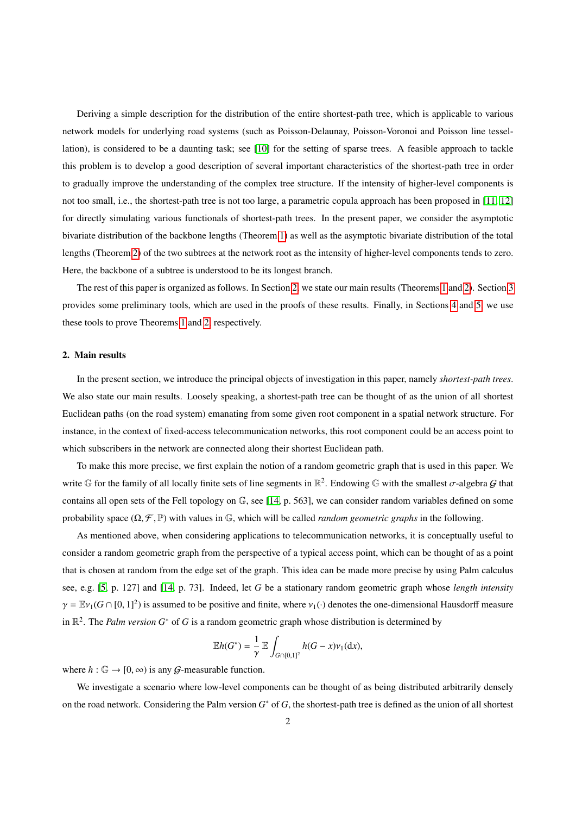Deriving a simple description for the distribution of the entire shortest-path tree, which is applicable to various network models for underlying road systems (such as Poisson-Delaunay, Poisson-Voronoi and Poisson line tessellation), is considered to be a daunting task; see [\[10\]](#page-11-2) for the setting of sparse trees. A feasible approach to tackle this problem is to develop a good description of several important characteristics of the shortest-path tree in order to gradually improve the understanding of the complex tree structure. If the intensity of higher-level components is not too small, i.e., the shortest-path tree is not too large, a parametric copula approach has been proposed in [\[11,](#page-11-1) [12\]](#page-11-3) for directly simulating various functionals of shortest-path trees. In the present paper, we consider the asymptotic bivariate distribution of the backbone lengths (Theorem [1\)](#page-4-0) as well as the asymptotic bivariate distribution of the total lengths (Theorem [2\)](#page-4-1) of the two subtrees at the network root as the intensity of higher-level components tends to zero. Here, the backbone of a subtree is understood to be its longest branch.

The rest of this paper is organized as follows. In Section [2,](#page-1-0) we state our main results (Theorems [1](#page-4-0) and [2\)](#page-4-1). Section [3](#page-5-0) provides some preliminary tools, which are used in the proofs of these results. Finally, in Sections [4](#page-6-0) and [5,](#page-7-0) we use these tools to prove Theorems [1](#page-4-0) and [2,](#page-4-1) respectively.

# <span id="page-1-0"></span>2. Main results

In the present section, we introduce the principal objects of investigation in this paper, namely *shortest-path trees*. We also state our main results. Loosely speaking, a shortest-path tree can be thought of as the union of all shortest Euclidean paths (on the road system) emanating from some given root component in a spatial network structure. For instance, in the context of fixed-access telecommunication networks, this root component could be an access point to which subscribers in the network are connected along their shortest Euclidean path.

To make this more precise, we first explain the notion of a random geometric graph that is used in this paper. We write G for the family of all locally finite sets of line segments in  $\mathbb{R}^2$ . Endowing G with the smallest  $\sigma$ -algebra G that contains all open sets of the Fell topology on G, see [\[14,](#page-11-4) p. 563], we can consider random variables defined on some probability space  $(\Omega, \mathcal{F}, \mathbb{P})$  with values in G, which will be called *random geometric graphs* in the following.

As mentioned above, when considering applications to telecommunication networks, it is conceptually useful to consider a random geometric graph from the perspective of a typical access point, which can be thought of as a point that is chosen at random from the edge set of the graph. This idea can be made more precise by using Palm calculus see, e.g. [\[5,](#page-11-5) p. 127] and [\[14,](#page-11-4) p. 73]. Indeed, let *G* be a stationary random geometric graph whose *length intensity*  $\gamma = \mathbb{E} \nu_1(G \cap [0, 1]^2)$  is assumed to be positive and finite, where  $\nu_1(\cdot)$  denotes the one-dimensional Hausdorff measure in R 2 . The *Palm version G*<sup>∗</sup> of *G* is a random geometric graph whose distribution is determined by

$$
\mathbb{E}h(G^*)=\frac{1}{\gamma}\,\mathbb{E}\int_{G\cap[0,1]^2}h(G-x)\nu_1(\mathrm{d} x),
$$

where  $h : \mathbb{G} \to [0, \infty)$  is any *G*-measurable function.

We investigate a scenario where low-level components can be thought of as being distributed arbitrarily densely on the road network. Considering the Palm version *G* <sup>∗</sup> of *G*, the shortest-path tree is defined as the union of all shortest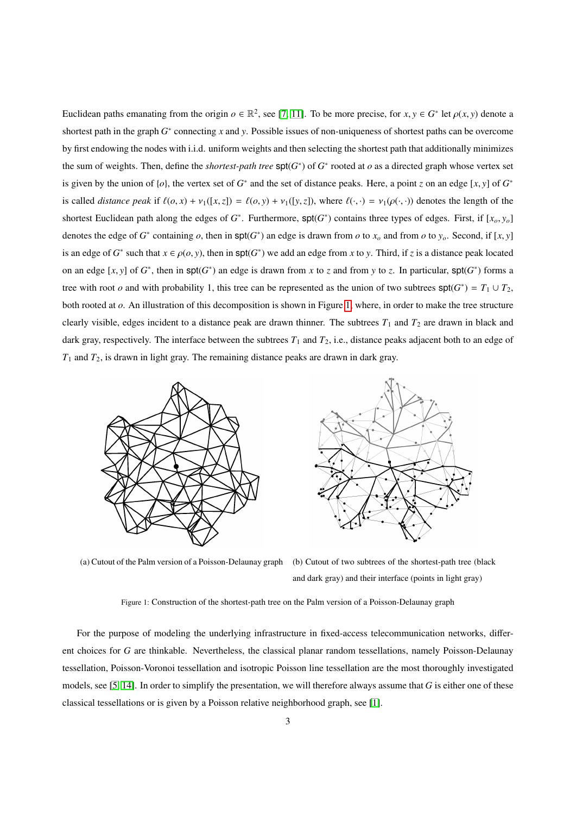Euclidean paths emanating from the origin  $o \in \mathbb{R}^2$ , see [\[7,](#page-11-0) [11\]](#page-11-1). To be more precise, for  $x, y \in G^*$  let  $\rho(x, y)$  denote a shortest path in the graph  $G^*$  connecting *x* and *y*. Possible issues of non-uniqueness of shortest paths can be overcome by first endowing the nodes with i.i.d. uniform weights and then selecting the shortest path that additionally minimizes the sum of weights. Then, define the *shortest-path tree*  $\text{spt}(G^*)$  of  $G^*$  rooted at  $o$  as a directed graph whose vertex set is given by the union of  $\{o\}$ , the vertex set of  $G^*$  and the set of distance peaks. Here, a point *z* on an edge  $[x, y]$  of  $G^*$ is called *distance peak* if  $\ell(o, x) + \nu_1([x, z]) = \ell(o, y) + \nu_1([y, z])$ , where  $\ell(\cdot, \cdot) = \nu_1(\rho(\cdot, \cdot))$  denotes the length of the shortest Euclidean path along the edges of  $G^*$ . Furthermore,  $\text{spt}(G^*)$  contains three types of edges. First, if  $[x_o, y_o]$ denotes the edge of  $G^*$  containing  $o$ , then in  $\text{spt}(G^*)$  an edge is drawn from  $o$  to  $x_o$  and from  $o$  to  $y_o$ . Second, if  $[x, y]$ is an edge of  $G^*$  such that  $x \in \rho(0, y)$ , then in  $\text{spt}(G^*)$  we add an edge from *x* to *y*. Third, if *z* is a distance peak located on an edge [*x*, *y*] of  $G^*$ , then in  $\text{spt}(G^*)$  an edge is drawn from *x* to *z* and from *y* to *z*. In particular,  $\text{spt}(G^*)$  forms a tree with root *o* and with probability 1, this tree can be represented as the union of two subtrees  $\text{spt}(G^*) = T_1 \cup T_2$ , both rooted at *o*. An illustration of this decomposition is shown in Figure [1,](#page-2-0) where, in order to make the tree structure clearly visible, edges incident to a distance peak are drawn thinner. The subtrees  $T_1$  and  $T_2$  are drawn in black and dark gray, respectively. The interface between the subtrees  $T_1$  and  $T_2$ , i.e., distance peaks adjacent both to an edge of  $T_1$  and  $T_2$ , is drawn in light gray. The remaining distance peaks are drawn in dark gray.

<span id="page-2-0"></span>

(a) Cutout of the Palm version of a Poisson-Delaunay graph (b) Cutout of two subtrees of the shortest-path tree (black and dark gray) and their interface (points in light gray)

Figure 1: Construction of the shortest-path tree on the Palm version of a Poisson-Delaunay graph

For the purpose of modeling the underlying infrastructure in fixed-access telecommunication networks, different choices for *G* are thinkable. Nevertheless, the classical planar random tessellations, namely Poisson-Delaunay tessellation, Poisson-Voronoi tessellation and isotropic Poisson line tessellation are the most thoroughly investigated models, see [\[5,](#page-11-5) [14\]](#page-11-4). In order to simplify the presentation, we will therefore always assume that *G* is either one of these classical tessellations or is given by a Poisson relative neighborhood graph, see [\[1\]](#page-11-6).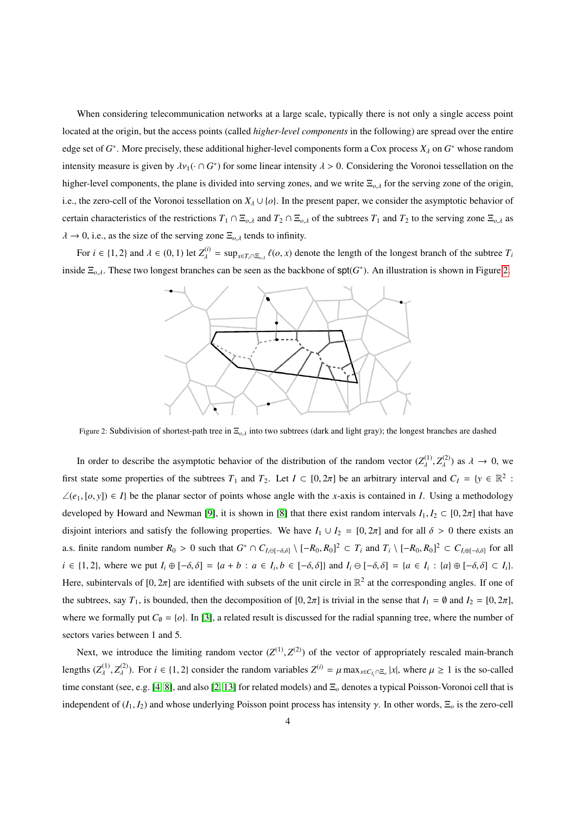When considering telecommunication networks at a large scale, typically there is not only a single access point located at the origin, but the access points (called *higher-level components* in the following) are spread over the entire edge set of  $G^*$ . More precisely, these additional higher-level components form a Cox process  $X_\lambda$  on  $G^*$  whose random intensity measure is given by  $\lambda v_1(\cdot \cap G^*)$  for some linear intensity  $\lambda > 0$ . Considering the Voronoi tessellation on the higher-level components, the plane is divided into serving zones, and we write <sup>Ξ</sup>*o*,λ for the serving zone of the origin, i.e., the zero-cell of the Voronoi tessellation on  $X_{\lambda} \cup \{o\}$ . In the present paper, we consider the asymptotic behavior of certain characteristics of the restrictions  $T_1 \cap \Xi_{o,\lambda}$  and  $T_2 \cap \Xi_{o,\lambda}$  of the subtrees  $T_1$  and  $T_2$  to the serving zone  $\Xi_{o,\lambda}$  as  $\lambda \to 0$ , i.e., as the size of the serving zone  $\Xi_{o,\lambda}$  tends to infinity.

<span id="page-3-0"></span>For  $i \in \{1, 2\}$  and  $\lambda \in (0, 1)$  let  $Z_{\lambda}^{(i)} = \sup_{x \in T_i \cap \Xi_{o,\lambda}} \ell(o, x)$  denote the length of the longest branch of the subtree  $T_i$ inside  $\Xi_{o,\lambda}$ . These two longest branches can be seen as the backbone of  $spt(G^*)$ . An illustration is shown in Figure [2.](#page-3-0)



Figure 2: Subdivision of shortest-path tree in <sup>Ξ</sup>*<sup>o</sup>*,λ into two subtrees (dark and light gray); the longest branches are dashed

In order to describe the asymptotic behavior of the distribution of the random vector  $(Z_{\lambda}^{(1)}, Z_{\lambda}^{(2)})$  as  $\lambda \to 0$ , we first state some properties of the subtrees  $T_1$  and  $T_2$ . Let  $I \subset [0, 2\pi]$  be an arbitrary interval and  $C_I = \{y \in \mathbb{R}^2 :$ ∠( $e_1$ ,  $[o, y]$ ) ∈ *I*} be the planar sector of points whose angle with the *x*-axis is contained in *I*. Using a methodology developed by Howard and Newman [\[9\]](#page-11-7), it is shown in [\[8\]](#page-11-8) that there exist random intervals  $I_1, I_2 \subset [0, 2\pi]$  that have disjoint interiors and satisfy the following properties. We have  $I_1 \cup I_2 = [0, 2\pi]$  and for all  $\delta > 0$  there exists an a.s. finite random number  $R_0 > 0$  such that  $G^* \cap C_{I_i \in [-\delta,\delta]} \setminus [-R_0,R_0]^2 \subset T_i$  and  $T_i \setminus [-R_0,R_0]^2 \subset C_{I_i \in [-\delta,\delta]}$  for all  $i \in \{1,2\}$ , where we put  $I_i \oplus [-\delta, \delta] = \{a+b : a \in I_i, b \in [-\delta, \delta]\}$  and  $I_i \ominus [-\delta, \delta] = \{a \in I_i : \{a\} \oplus [-\delta, \delta] \subset I_i\}$ . Here, subintervals of [0,  $2\pi$ ] are identified with subsets of the unit circle in  $\mathbb{R}^2$  at the corresponding angles. If one of the subtrees, say  $T_1$ , is bounded, then the decomposition of  $[0, 2\pi]$  is trivial in the sense that  $I_1 = \emptyset$  and  $I_2 = [0, 2\pi]$ , where we formally put  $C_0 = \{o\}$ . In [\[3\]](#page-11-9), a related result is discussed for the radial spanning tree, where the number of sectors varies between 1 and 5.

Next, we introduce the limiting random vector  $(Z^{(1)}, Z^{(2)})$  of the vector of appropriately rescaled main-branch lengths  $(Z_{\lambda}^{(1)}$  $Z_{\lambda}^{(1)}, Z_{\lambda}^{(2)}$ (<sup>2)</sup>). For  $i \in \{1, 2\}$  consider the random variables  $Z^{(i)} = \mu \max_{x \in C_{I_i} \cap \Xi_o} |x|$ , where  $\mu \ge 1$  is the so-called time constant (see, e.g. [\[4,](#page-11-10) [8\]](#page-11-8), and also [\[2,](#page-11-11) [13\]](#page-11-12) for related models) and Ξ*<sup>o</sup>* denotes a typical Poisson-Voronoi cell that is independent of  $(I_1, I_2)$  and whose underlying Poisson point process has intensity  $\gamma$ . In other words,  $\Xi_o$  is the zero-cell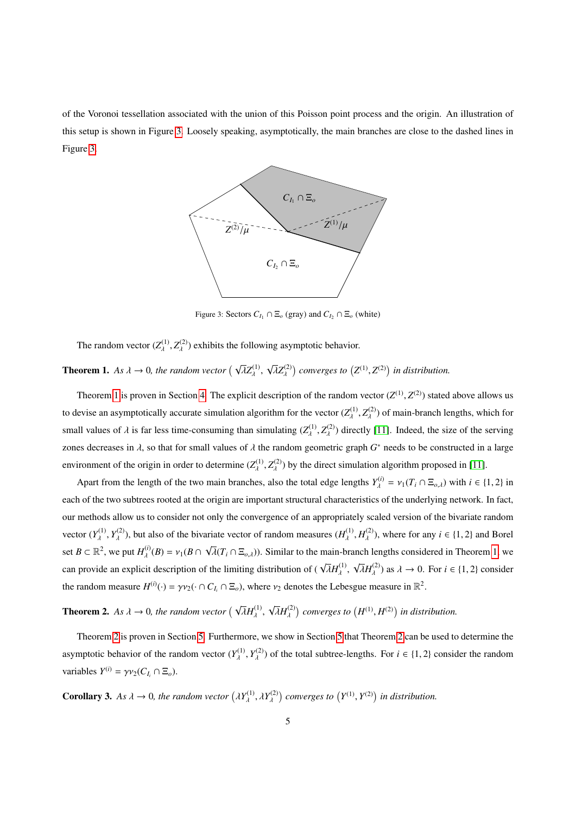<span id="page-4-2"></span>of the Voronoi tessellation associated with the union of this Poisson point process and the origin. An illustration of this setup is shown in Figure [3.](#page-4-2) Loosely speaking, asymptotically, the main branches are close to the dashed lines in Figure [3.](#page-4-2)



Figure 3: Sectors  $C_I \cap \Xi_o$  (gray) and  $C_I \cap \Xi_o$  (white)

The random vector  $(Z_{\lambda}^{(1)}, Z_{\lambda}^{(2)})$  exhibits the following asymptotic behavior.

#### <span id="page-4-0"></span>**Theorem 1.** *As*  $\lambda \to 0$ *, the random vector*  $(\sqrt{\lambda}Z_{\lambda}^{(1)})$ λ , √ λ*Z* (2)  $\int$  *converges to*  $(Z^{(1)}, Z^{(2)})$  *in distribution.*

Theorem [1](#page-4-0) is proven in Section [4.](#page-6-0) The explicit description of the random vector  $(Z^{(1)}, Z^{(2)})$  stated above allows us to devise an asymptotically accurate simulation algorithm for the vector  $(Z_{\lambda}^{(1)}, Z_{\lambda}^{(2)})$  of main-branch lengths, which for small values of  $\lambda$  is far less time-consuming than simulating  $(Z_{\lambda}^{(1)}, Z_{\lambda}^{(2)})$  directly [\[11\]](#page-11-1). Indeed, the size of the serving zones decreases in  $\lambda$ , so that for small values of  $\lambda$  the random geometric graph  $G^*$  needs to be constructed in a large environment of the origin in order to determine  $(Z_{\lambda}^{(1)}, Z_{\lambda}^{(2)})$  by the direct simulation algorithm proposed in [\[11\]](#page-11-1).

Apart from the length of the two main branches, also the total edge lengths  $Y_{\lambda}^{(i)} = v_1(T_i \cap \Xi_{o,\lambda})$  with  $i \in \{1, 2\}$  in each of the two subtrees rooted at the origin are important structural characteristics of the underlying network. In fact, our methods allow us to consider not only the convergence of an appropriately scaled version of the bivariate random vector  $(Y_{\lambda}^{(1)}, Y_{\lambda}^{(2)})$ , but also of the bivariate vector of random measures  $(H_{\lambda}^{(1)}, H_{\lambda}^{(2)})$ , where for any  $i \in \{1, 2\}$  and Borel set  $B \subset \mathbb{R}^2$ , we put  $H^{(i)}_{\lambda}(B) = v_1(B \cap \sqrt{\lambda}(T_i \cap \Xi_{o,\lambda}))$ . Similar to the main-branch can provide an explicit description of the limiting distribution of ( $\sqrt{\lambda}H_{\lambda}^{(1)}$ ,  $\sqrt{\lambda}H_{\lambda}^{(2)}$ √  $\overline{\lambda}(T_i \cap \Xi_{o,\lambda})$ ). Similar to the main-branch lengths considered in Theorem [1,](#page-4-0) we the random measure  $H^{(i)}(\cdot) = \gamma v_2(\cdot \cap C_{I_i} \cap \Xi_o)$ , where  $v_2$  denotes the Lebesgue measure in  $\mathbb{R}^2$ .  $\overline{\lambda}H_{\lambda}^{(2)}$  as  $\lambda \to 0$ . For  $i \in \{1, 2\}$  consider

<span id="page-4-1"></span>**Theorem 2.** *As*  $\lambda \rightarrow 0$ *, the random vector*  $(\sqrt{\lambda}H_{\lambda}^{(1)}$ , √  $\left(\overline{\lambda}H_{\lambda}^{(2)}\right)$  converges to  $\left(H^{(1)},H^{(2)}\right)$  in distribution.

Theorem [2](#page-4-1) is proven in Section [5.](#page-7-0) Furthermore, we show in Section [5](#page-7-0) that Theorem [2](#page-4-1) can be used to determine the asymptotic behavior of the random vector  $(Y_{\lambda}^{(1)}, Y_{\lambda}^{(2)})$  of the total subtree-lengths. For  $i \in \{1, 2\}$  consider the random variables  $Y^{(i)} = \gamma v_2(C_{I_i} \cap \Xi_o)$ .

<span id="page-4-3"></span>**Corollary 3.** *As*  $\lambda \to 0$ *, the random vector*  $(\lambda Y_{\lambda}^{(1)}$  $\lambda^{(1)}, \lambda Y_{\lambda}^{(2)}$  $\int$  *converges to*  $(Y^{(1)}, Y^{(2)})$  *in distribution.*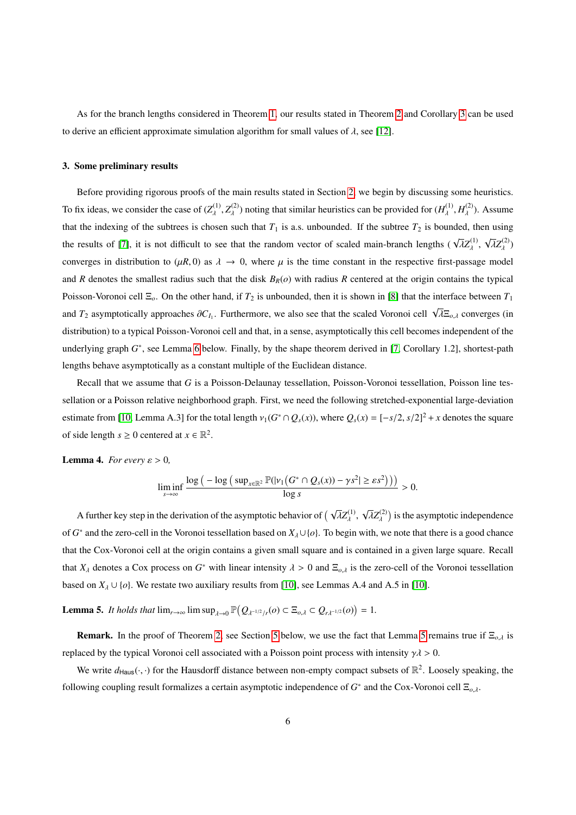As for the branch lengths considered in Theorem [1,](#page-4-0) our results stated in Theorem [2](#page-4-1) and Corollary [3](#page-4-3) can be used to derive an efficient approximate simulation algorithm for small values of  $\lambda$ , see [\[12\]](#page-11-3).

# <span id="page-5-0"></span>3. Some preliminary results

Before providing rigorous proofs of the main results stated in Section [2,](#page-1-0) we begin by discussing some heuristics. To fix ideas, we consider the case of  $(Z_{\lambda}^{(1)}, Z_{\lambda}^{(2)})$  noting that similar heuristics can be provided for  $(H_{\lambda}^{(1)}, H_{\lambda}^{(2)})$ . Assume that the indexing of the subtrees is chosen such that  $T_1$  is a.s. unbounded. If the subtree  $T_2$  is bounded, then using the results of [\[7\]](#page-11-0), it is not difficult to see that the random vector of scaled main-branch lengths ( $\sqrt{\lambda}Z_{\lambda}^{(1)}$ , √  $\overline{\lambda}Z_{\lambda}^{(2)})$ converges in distribution to  $(\mu R, 0)$  as  $\lambda \to 0$ , where  $\mu$  is the time constant in the respective first-passage model and *R* denotes the smallest radius such that the disk  $B_R(o)$  with radius *R* centered at the origin contains the typical Poisson-Voronoi cell  $\Xi_o$ . On the other hand, if  $T_2$  is unbounded, then it is shown in [\[8\]](#page-11-8) that the interface between  $T_1$ and  $T_2$  asymptotically approaches  $\partial C_{I_1}$ . Furthermore, we also see that the scaled Voronoi cell  $\sqrt{\lambda} \Xi_{o,\lambda}$  converges (in distribution) to a typical Poisson-Voronoi cell and that, in a sense, asymptotically this cell becomes independent of the underlying graph  $G^*$ , see Lemma [6](#page-5-1) below. Finally, by the shape theorem derived in [\[7,](#page-11-0) Corollary 1.2], shortest-path lengths behave asymptotically as a constant multiple of the Euclidean distance.

Recall that we assume that *G* is a Poisson-Delaunay tessellation, Poisson-Voronoi tessellation, Poisson line tessellation or a Poisson relative neighborhood graph. First, we need the following stretched-exponential large-deviation estimate from [\[10,](#page-11-2) Lemma A.3] for the total length  $v_1(G^* \cap Q_s(x))$ , where  $Q_s(x) = [-s/2, s/2]^2 + x$  denotes the square of side length  $s \ge 0$  centered at  $x \in \mathbb{R}^2$ .

<span id="page-5-3"></span>**Lemma 4.** *For every*  $\varepsilon > 0$ *,* 

$$
\liminf_{s\to\infty}\frac{\log\big(-\log\big(\sup_{x\in\mathbb{R}^2}\mathbb{P}(|v_1(G^*\cap Q_s(x))-\gamma s^2|\geq \varepsilon s^2\big)\big)\big)}{\log s}>0.
$$

A further key step in the derivation of the asymptotic behavior of  $(\sqrt{\lambda}Z_{\lambda}^{(1)}$ , √  $\sqrt{\lambda}Z_{\lambda}^{(2)}$ ) is the asymptotic independence of *G*<sup>\*</sup> and the zero-cell in the Voronoi tessellation based on  $X_\lambda \cup \{o\}$ . To begin with, we note that there is a good chance that the Cox-Voronoi cell at the origin contains a given small square and is contained in a given large square. Recall that  $X_\lambda$  denotes a Cox process on  $G^*$  with linear intensity  $\lambda > 0$  and  $\Xi_{o,\lambda}$  is the zero-cell of the Voronoi tessellation based on  $X_\lambda \cup \{o\}$ . We restate two auxiliary results from [\[10\]](#page-11-2), see Lemmas A.4 and A.5 in [10].

<span id="page-5-2"></span>**Lemma 5.** *It holds that*  $\lim_{r\to\infty} \limsup_{\lambda \to 0} \mathbb{P}(Q_{\lambda^{-1/2}/r}(o) \subset \Xi_{o,\lambda} \subset Q_{r\lambda^{-1/2}}(o)) = 1.$ 

Remark. In the proof of Theorem [2,](#page-4-1) see Section [5](#page-7-0) below, we use the fact that Lemma [5](#page-5-2) remains true if <sup>Ξ</sup>*<sup>o</sup>*,λ is replaced by the typical Voronoi cell associated with a Poisson point process with intensity  $\gamma \lambda > 0$ .

<span id="page-5-1"></span>We write  $d_{\text{Haus}}(\cdot, \cdot)$  for the Hausdorff distance between non-empty compact subsets of  $\mathbb{R}^2$ . Loosely speaking, the following coupling result formalizes a certain asymptotic independence of *G* ∗ and the Cox-Voronoi cell <sup>Ξ</sup>*<sup>o</sup>*,λ.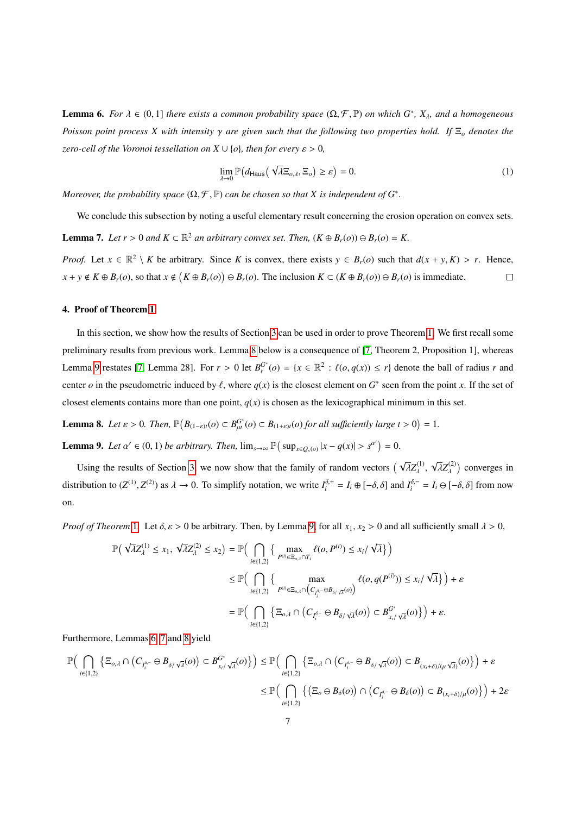**Lemma 6.** *For*  $\lambda \in (0,1]$  *there exists a common probability space*  $(\Omega, \mathcal{F}, \mathbb{P})$  *on which*  $G^*$ *,*  $X_{\lambda}$ *<i>, and a homogeneous Poisson point process X with intensity* <sup>γ</sup> *are given such that the following two properties hold. If* <sup>Ξ</sup>*<sup>o</sup> denotes the zero-cell of the Voronoi tessellation on*  $X \cup \{o\}$ *, then for every*  $\varepsilon > 0$ *,* 

$$
\lim_{\lambda \to 0} \mathbb{P}\big(d_{\text{Haus}}\big(\sqrt{\lambda} \Xi_{o,\lambda}, \Xi_o\big) \geq \varepsilon\big) = 0. \tag{1}
$$

*Moreover, the probability space*  $(\Omega, \mathcal{F}, \mathbb{P})$  *can be chosen so that* X *is independent of*  $G^*$ .

<span id="page-6-3"></span>We conclude this subsection by noting a useful elementary result concerning the erosion operation on convex sets. **Lemma 7.** *Let*  $r > 0$  *and*  $K \subset \mathbb{R}^2$  *an arbitrary convex set. Then,*  $(K \oplus B_r(o)) \ominus B_r(o) = K$ .

*Proof.* Let  $x \in \mathbb{R}^2 \setminus K$  be arbitrary. Since *K* is convex, there exists  $y \in B_r(o)$  such that  $d(x + y, K) > r$ . Hence,  $x + y \notin K \oplus B_r(o)$ , so that  $x \notin (K \oplus B_r(o)) \ominus B_r(o)$ . The inclusion  $K \subset (K \oplus B_r(o)) \ominus B_r(o)$  is immediate.

# <span id="page-6-0"></span>4. Proof of Theorem [1](#page-4-0)

In this section, we show how the results of Section [3](#page-5-0) can be used in order to prove Theorem [1.](#page-4-0) We first recall some preliminary results from previous work. Lemma [8](#page-6-1) below is a consequence of [\[7,](#page-11-0) Theorem 2, Proposition 1], whereas Lemma [9](#page-6-2) restates [\[7,](#page-11-0) Lemma 28]. For  $r > 0$  let  $B_r^G$  (*o*) = { $x \in \mathbb{R}^2$  :  $\ell(o, q(x)) \le r$ } denote the ball of radius *r* and center *o* in the pseudometric induced by  $\ell$ , where  $q(x)$  is the closest element on  $G^*$  seen from the point *x*. If the set of closest elements contains more than one point,  $q(x)$  is chosen as the lexicographical minimum in this set.

<span id="page-6-1"></span>**Lemma 8.** Let  $\varepsilon > 0$ . Then,  $\mathbb{P}(B_{(1-\varepsilon)t}(o) \subset B_{\mu}^{G^*}(o) \subset B_{(1+\varepsilon)t}(o)$  for all sufficiently large  $t > 0$ ) = 1.

<span id="page-6-2"></span>**Lemma 9.** *Let*  $\alpha' \in (0, 1)$  *be arbitrary. Then,*  $\lim_{s \to \infty} \mathbb{P}(\sup_{x \in Q_s(o)} |x - q(x)| > s^{\alpha'} ) = 0.$ 

Using the results of Section [3,](#page-5-0) we now show that the family of random vectors  $(\sqrt{\lambda}Z_{\lambda}^{(1)}, \sqrt{\lambda}Z_{\lambda}^{(2)})$ distribution to  $(Z^{(1)}, Z^{(2)})$  as  $\lambda \to 0$ . To simplify notation, we write  $I_i^{\delta,+} = I_i \oplus [-\delta, \delta]$  and  $I_i^{\delta,-} = I_i \ominus [-\delta, \delta]$  from now  $\overline{\lambda}Z_{\lambda}^{(2)}$  converges in on.

*Proof of Theorem* [1](#page-4-0)*.* Let  $\delta, \varepsilon > 0$  be arbitrary. Then, by Lemma [9,](#page-6-2) for all  $x_1, x_2 > 0$  and all sufficiently small  $\lambda > 0$ ,

$$
\begin{split} \mathbb{P}\Big(\sqrt{\lambda}Z^{(1)}_{\lambda} \leq x_1,\ \sqrt{\lambda}Z^{(2)}_{\lambda} \leq x_2\Big) &= \mathbb{P}\Big(\bigcap_{i \in \{1,2\}} \Big\{\max_{P^{(i)} \in \Xi_{o,\lambda} \cap T_i} \ell(o,P^{(i)}) \leq x_i/\sqrt{\lambda}\Big\}\Big) \\ & \leq \mathbb{P}\Big(\bigcap_{i \in \{1,2\}} \Big\{\max_{P^{(i)} \in \Xi_{o,\lambda} \cap \big(C_{I_i^{\delta,-}} \ominus B_{\delta/\sqrt{\lambda}}(o)\big)} \ell(o,q(P^{(i)})) \leq x_i/\sqrt{\lambda}\Big\}\Big) + \varepsilon \\ &= \mathbb{P}\Big(\bigcap_{i \in \{1,2\}} \Big\{\Xi_{o,\lambda} \cap \big(C_{I_i^{\delta,-}} \ominus B_{\delta/\sqrt{\lambda}}(o)\big) \subset B_{x_i/\sqrt{\lambda}}^{G^*} (o)\Big\}\Big) + \varepsilon. \end{split}
$$

Furthermore, Lemmas [6,](#page-5-1) [7](#page-6-3) and [8](#page-6-1) yield

$$
\mathbb{P}\Big(\bigcap_{i\in\{1,2\}}\left\{\Xi_{o,\lambda}\cap\left(C_{I_{i}^{\delta-}}\ominus B_{\delta/\sqrt{\lambda}}(o)\right)\subset B_{x_{i}/\sqrt{\lambda}}^{G^{*}}(o)\right\}\Big)\leq \mathbb{P}\Big(\bigcap_{i\in\{1,2\}}\left\{\Xi_{o,\lambda}\cap\left(C_{I_{i}^{\delta-}}\ominus B_{\delta/\sqrt{\lambda}}(o)\right)\subset B_{(x_{i}+\delta)/(\mu\sqrt{\lambda})}(o)\right\}\Big)+\varepsilon
$$

$$
\leq \mathbb{P}\Big(\bigcap_{i\in\{1,2\}}\left\{\left(\Xi_{o}\ominus B_{\delta}(o)\right)\cap\left(C_{I_{i}^{\delta-}}\ominus B_{\delta}(o)\right)\subset B_{(x_{i}+\delta)/\mu}(o)\right\}\Big)+2\varepsilon
$$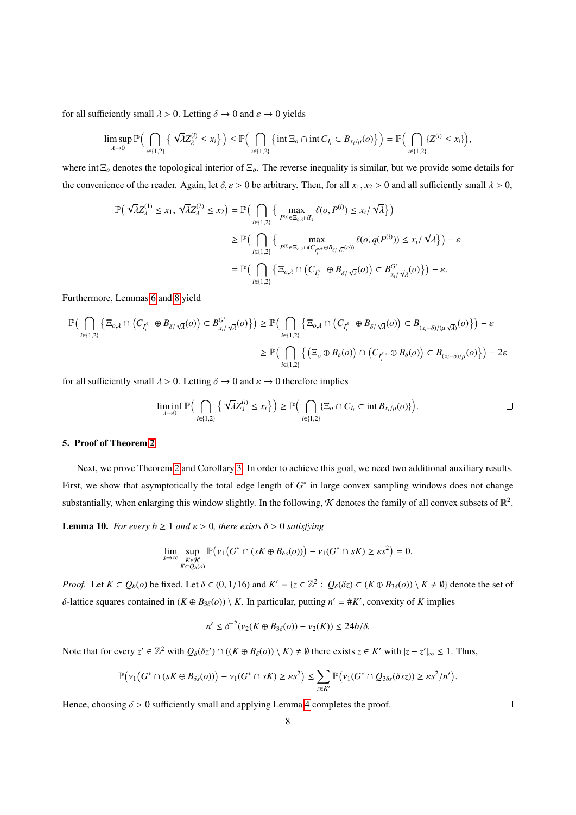for all sufficiently small  $\lambda > 0$ . Letting  $\delta \rightarrow 0$  and  $\varepsilon \rightarrow 0$  yields

$$
\limsup_{\lambda\to 0} \mathbb{P}\Big(\bigcap_{i\in\{1,2\}} \left\{\sqrt{\lambda}Z_{\lambda}^{(i)} \leq x_i\right\}\Big) \leq \mathbb{P}\Big(\bigcap_{i\in\{1,2\}} \left\{\text{int } \Xi_o \cap \text{int } C_{I_i} \subset B_{x_i/\mu}(o)\right\}\Big) = \mathbb{P}\Big(\bigcap_{i\in\{1,2\}} \left\{Z^{(i)} \leq x_i\right\}\Big),
$$

where int Ξ*<sup>o</sup>* denotes the topological interior of Ξ*o*. The reverse inequality is similar, but we provide some details for the convenience of the reader. Again, let  $\delta$ ,  $\varepsilon > 0$  be arbitrary. Then, for all  $x_1, x_2 > 0$  and all sufficiently small  $\lambda > 0$ ,

$$
\begin{aligned} \mathbb{P}\Big(\sqrt{\lambda}Z^{(1)}_{\lambda} \leq x_1,\ \sqrt{\lambda}Z^{(2)}_{\lambda} \leq x_2\Big) &= \mathbb{P}\Big(\bigcap_{i \in \{1,2\}} \Big\{\max_{P^{(i)} \in \Xi_{o,\lambda} \cap T_i} \ell(o,P^{(i)}) \leq x_i/\sqrt{\lambda}\Big\}\Big) \\ & \geq \mathbb{P}\Big(\bigcap_{i \in \{1,2\}} \Big\{\max_{P^{(i)} \in \Xi_{o,\lambda} \cap (C_{t_i^{\delta, +}} \oplus B_{\delta/\sqrt{\lambda}}(o))} \ell(o,q(P^{(i)})) \leq x_i/\sqrt{\lambda}\Big\}\Big) - \varepsilon \\ &= \mathbb{P}\Big(\bigcap_{i \in \{1,2\}} \Big\{\Xi_{o,\lambda} \cap \Big(C_{I_i^{\delta, +}} \oplus B_{\delta/\sqrt{\lambda}}(o)\Big) \subset B_{x_i/\sqrt{\lambda}}^{G^*}(o)\Big\}\Big) - \varepsilon. \end{aligned}
$$

Furthermore, Lemmas [6](#page-5-1) and [8](#page-6-1) yield

$$
\mathbb{P}\Big(\bigcap_{i\in\{1,2\}}\left\{\Xi_{o,\lambda}\cap\left(C_{I_i^{\delta,+}}\oplus B_{\delta/\sqrt{\lambda}}(o)\right)\subset B_{x_i/\sqrt{\lambda}}^{\mathbb{G}^*}(o)\right\}\Big)\geq \mathbb{P}\Big(\bigcap_{i\in\{1,2\}}\left\{\Xi_{o,\lambda}\cap\left(C_{I_i^{\delta,+}}\oplus B_{\delta/\sqrt{\lambda}}(o)\right)\subset B_{(x_i-\delta)/(\mu\sqrt{\lambda})}(o)\right\}\Big)-\varepsilon
$$

$$
\geq \mathbb{P}\Big(\bigcap_{i\in\{1,2\}}\left\{\left(\Xi_o\oplus B_{\delta}(o)\right)\cap\left(C_{I_i^{\delta,+}}\oplus B_{\delta}(o)\right)\subset B_{(x_i-\delta)/\mu}(o)\right\}\Big)-2\varepsilon
$$

for all sufficiently small  $\lambda > 0$ . Letting  $\delta \to 0$  and  $\varepsilon \to 0$  therefore implies

$$
\liminf_{\lambda \to 0} \mathbb{P}\Big(\bigcap_{i \in \{1,2\}} \left\{\sqrt{\lambda} Z_{\lambda}^{(i)} \leq x_i\right\}\Big) \geq \mathbb{P}\Big(\bigcap_{i \in \{1,2\}} \left\{\Xi_o \cap C_{I_i} \subset \text{int } B_{x_i/\mu}(o)\right\}\Big).
$$

# <span id="page-7-0"></span>5. Proof of Theorem [2](#page-4-1)

Next, we prove Theorem [2](#page-4-1) and Corollary [3.](#page-4-3) In order to achieve this goal, we need two additional auxiliary results. First, we show that asymptotically the total edge length of  $G^*$  in large convex sampling windows does not change substantially, when enlarging this window slightly. In the following, K denotes the family of all convex subsets of  $\mathbb{R}^2$ .

<span id="page-7-1"></span>**Lemma 10.** *For every b*  $\geq 1$  *and*  $\varepsilon > 0$ *, there exists*  $\delta > 0$  *satisfying* 

$$
\lim_{s\to\infty}\sup_{\substack{K\in\mathcal{K}\\K\subset Q_b(o)}}\mathbb{P}\big(\nu_1\big(G^*\cap(sK\oplus B_{\delta s}(o))\big)-\nu_1(G^*\cap sK)\geq \varepsilon s^2\big)=0.
$$

*Proof.* Let  $K \subset Q_b(o)$  be fixed. Let  $\delta \in (0, 1/16)$  and  $K' = \{z \in \mathbb{Z}^2 : Q_{\delta}(\delta z) \subset (K \oplus B_{3\delta}(o)) \setminus K \neq \emptyset\}$  denote the set of δ-lattice squares contained in  $(K \oplus B_{3\delta}(o)) \setminus K$ . In particular, putting  $n' = #K'$ , convexity of *K* implies

$$
n' \leq \delta^{-2}(\nu_2(K \oplus B_{3\delta}(o)) - \nu_2(K)) \leq 24b/\delta.
$$

Note that for every  $z' \in \mathbb{Z}^2$  with  $Q_\delta(\delta z') \cap ((K \oplus B_\delta(o)) \setminus K) \neq \emptyset$  there exists  $z \in K'$  with  $|z - z'|_{\infty} \leq 1$ . Thus,

$$
\mathbb{P}(\nu_1(G^*\cap (sK\oplus B_{\delta s}(o)))-\nu_1(G^*\cap sK)\geq \varepsilon s^2)\leq \sum_{z\in K'}\mathbb{P}(\nu_1(G^*\cap Q_{3\delta s}(\delta s z))\geq \varepsilon s^2/n').
$$

Hence, choosing  $\delta > 0$  sufficiently small and applying Lemma [4](#page-5-3) completes the proof.

 $\Box$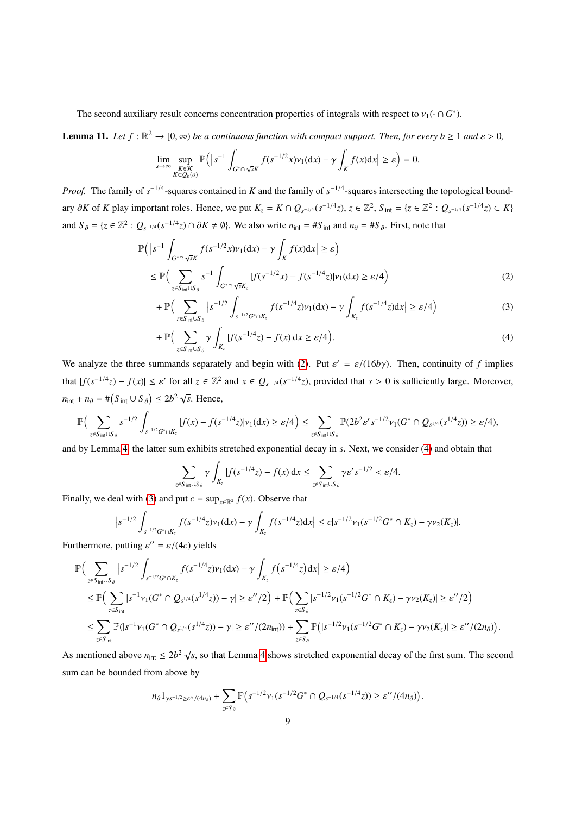The second auxiliary result concerns concentration properties of integrals with respect to  $v_1(\cdot \cap G^*)$ .

<span id="page-8-3"></span>**Lemma 11.** Let  $f : \mathbb{R}^2 \to [0, \infty)$  be a continuous function with compact support. Then, for every  $b \ge 1$  and  $\varepsilon > 0$ ,

$$
\lim_{s \to \infty} \sup_{\substack{K \in \mathcal{K} \\ K \subset Q_b(o)}} \mathbb{P}\Big(|s^{-1} \int_{G^* \cap \sqrt{s}K} f(s^{-1/2}x) \nu_1(\mathrm{d}x) - \gamma \int_K f(x) \mathrm{d}x\Big| \geq \varepsilon\Big) = 0.
$$

*Proof.* The family of  $s^{-1/4}$ -squares contained in *K* and the family of  $s^{-1/4}$ -squares intersecting the topological boundary  $\partial K$  of K play important roles. Hence, we put  $K_z = K \cap Q_{s^{-1/4}}(s^{-1/4}z)$ ,  $z \in \mathbb{Z}^2$ ,  $S_{int} = \{z \in \mathbb{Z}^2 : Q_{s^{-1/4}}(s^{-1/4}z) \subset K\}$ and  $S_{\partial} = \{z \in \mathbb{Z}^2 : Q_{s^{-1/4}}(s^{-1/4}z) \cap \partial K \neq \emptyset\}$ . We also write  $n_{\text{int}} = \#S_{\text{int}}$  and  $n_{\partial} = \#S_{\partial}$ . First, note that

$$
\mathbb{P}\Big(|s^{-1}\int_{G^*\cap\sqrt{s}K}f(s^{-1/2}x)\nu_1(\mathrm{d}x)-\gamma\int_Kf(x)\mathrm{d}x\Big|\geq\varepsilon\Big)
$$
  

$$
\leq\mathbb{P}\Big(\sum_{z\in S_{\text{int}}\cup S_{\partial}}s^{-1}\int_{G^*\cap\sqrt{s}K_z}|f(s^{-1/2}x)-f(s^{-1/4}z)|\nu_1(\mathrm{d}x)\geq\varepsilon/4\Big) \tag{2}
$$

<span id="page-8-2"></span><span id="page-8-0"></span>
$$
+\,\mathbb{P}\Big(\sum_{z\in S_{\text{int}}\cup S_{\partial}}\big|s^{-1/2}\int_{s^{-1/2}G^*\cap K_z}f(s^{-1/4}z)\nu_1(\mathrm{d}x)-\gamma\int_{K_z}f(s^{-1/4}z)\mathrm{d}x\big|\geq\varepsilon/4\Big)\tag{3}
$$

<span id="page-8-1"></span>
$$
+ \mathbb{P}\Big(\sum_{z \in S_{\text{int}} \cup S_{\partial}} \gamma \int_{K_z} |f(s^{-1/4}z) - f(x)| dx \ge \varepsilon/4\Big). \tag{4}
$$

We analyze the three summands separately and begin with [\(2\)](#page-8-0). Put  $\varepsilon' = \varepsilon/(16b\gamma)$ . Then, continuity of *f* implies that  $|f(s^{-1/4}z) - f(x)| \le \varepsilon'$  for all  $z \in \mathbb{Z}^2$  and  $x \in Q_{s^{-1/4}}(s^{-1/4}z)$ , provided that  $s > 0$  is sufficiently large. Moreover,  $n_{\text{int}} + n_{\partial} = \#(S_{\text{int}} \cup S_{\partial}) \le 2b^2 \sqrt{s}$ . Hence,

$$
\mathbb{P}\Big(\sum_{z\in S_{\text{int}}\cup S_{\partial}}s^{-1/2}\int_{s^{-1/2}G^*\cap K_z}|f(x)-f(s^{-1/4}z)|\nu_1(\mathrm{d} x)\geq \varepsilon/4\Big)\leq \sum_{z\in S_{\text{int}}\cup S_{\partial}}\mathbb{P}(2b^2\varepsilon's^{-1/2}\nu_1(G^*\cap Q_{s^{1/4}}(s^{1/4}z))\geq \varepsilon/4),
$$

and by Lemma [4,](#page-5-3) the latter sum exhibits stretched exponential decay in *s*. Next, we consider [\(4\)](#page-8-1) and obtain that

$$
\sum_{z \in S_{\text{int}} \cup S_{\partial}} \gamma \int_{K_z} |f(s^{-1/4}z) - f(x)| dx \leq \sum_{z \in S_{\text{int}} \cup S_{\partial}} \gamma \varepsilon' s^{-1/2} < \varepsilon/4.
$$

Finally, we deal with [\(3\)](#page-8-2) and put  $c = \sup_{x \in \mathbb{R}^2} f(x)$ . Observe that

$$
\left| s^{-1/2} \int_{s^{-1/2} G^* \cap K_z} f(s^{-1/4} z) \nu_1(dx) - \gamma \int_{K_z} f(s^{-1/4} z) dx \right| \leq c |s^{-1/2} \nu_1(s^{-1/2} G^* \cap K_z) - \gamma \nu_2(K_z)|.
$$

Furthermore, putting  $\varepsilon'' = \varepsilon/(4c)$  yields

$$
\mathbb{P}\Big(\sum_{z\in S_{int}\cup S_{\partial}} |s^{-1/2} \int_{s^{-1/2}G^*\cap K_z} f(s^{-1/4}z) \nu_1(dx) - \gamma \int_{K_z} f(s^{-1/4}z) dx \Big| \geq \varepsilon/4\Big) \n\leq \mathbb{P}\Big(\sum_{z\in S_{int}} |s^{-1} \nu_1(G^*\cap Q_{s^{1/4}}(s^{1/4}z)) - \gamma| \geq \varepsilon''/2\Big) + \mathbb{P}\Big(\sum_{z\in S_{\partial}} |s^{-1/2} \nu_1(s^{-1/2}G^*\cap K_z) - \gamma \nu_2(K_z)| \geq \varepsilon''/2\Big) \n\leq \sum_{z\in S_{int}} \mathbb{P}(|s^{-1} \nu_1(G^*\cap Q_{s^{1/4}}(s^{1/4}z)) - \gamma| \geq \varepsilon''/(2n_{int})) + \sum_{z\in S_{\partial}} \mathbb{P}\Big(|s^{-1/2} \nu_1(s^{-1/2}G^*\cap K_z) - \gamma \nu_2(K_z)| \geq \varepsilon''/(2n_{\partial})\Big).
$$

As mentioned above  $n_{\text{int}} \leq 2b^2 \sqrt{s}$ , so that Lemma [4](#page-5-3) shows stretched exponential decay of the first sum. The second sum can be bounded from above by

$$
n_{\partial} 1_{\gamma s^{-1/2} \geq \varepsilon''/(4n_{\partial})} + \sum_{z \in S_{\partial}} \mathbb{P}\left(s^{-1/2} \nu_1(s^{-1/2} G^* \cap Q_{s^{-1/4}}(s^{-1/4} z)) \geq \varepsilon''/(4n_{\partial})\right)
$$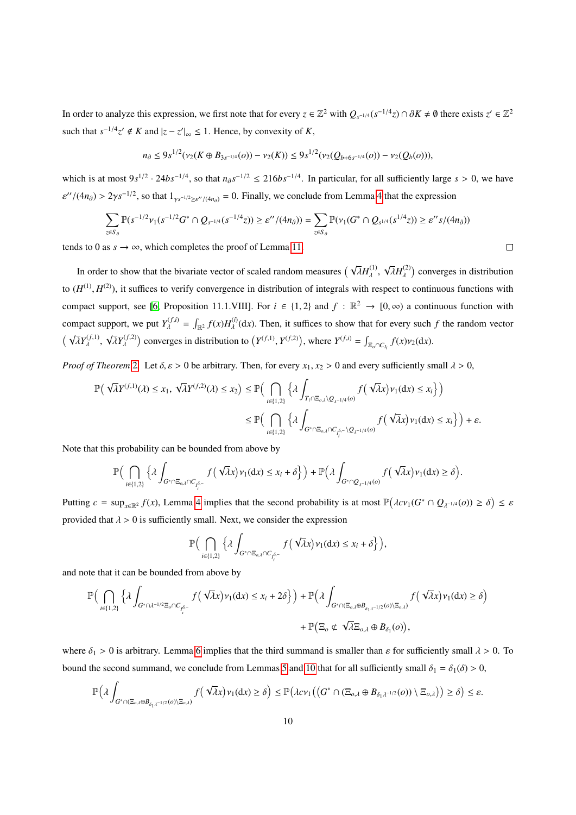In order to analyze this expression, we first note that for every  $z \in \mathbb{Z}^2$  with  $Q_{s^{-1/4}}(s^{-1/4}z) \cap \partial K \neq \emptyset$  there exists  $z' \in \mathbb{Z}^2$ such that  $s^{-1/4}z' \notin K$  and  $|z - z'|_{\infty} \le 1$ . Hence, by convexity of *K*,

$$
n_{\partial} \leq 9s^{1/2}(\nu_2(K \oplus B_{3s^{-1/4}}(o)) - \nu_2(K)) \leq 9s^{1/2}(\nu_2(Q_{b+6s^{-1/4}}(o)) - \nu_2(Q_b(o))),
$$

which is at most  $9s^{1/2} \cdot 24bs^{-1/4}$ , so that  $n_{\partial} s^{-1/2} \le 216bs^{-1/4}$ . In particular, for all sufficiently large *s* > 0, we have  $O((4n<sub>∂</sub>) > 2\gamma s^{-1/2}$ , so that  $1_{\gamma s^{-1/2} \ge \varepsilon''/(4n<sub>∂</sub>)} = 0$ . Finally, we conclude from Lemma [4](#page-5-3) that the expression

$$
\sum_{z \in S_{\partial}} \mathbb{P}(s^{-1/2} \nu_1(s^{-1/2} G^* \cap Q_{s^{-1/4}}(s^{-1/4} z)) \ge \varepsilon''/(4n_{\partial})) = \sum_{z \in S_{\partial}} \mathbb{P}(\nu_1(G^* \cap Q_{s^{1/4}}(s^{1/4} z)) \ge \varepsilon'' s/(4n_{\partial}))
$$

tends to 0 as  $s \to \infty$ , which completes the proof of Lemma [11.](#page-8-3)

In order to show that the bivariate vector of scaled random measures  $(\sqrt{\lambda}H_{\lambda}^{(1)}, \sqrt{\lambda})$ to  $(H^{(1)}, H^{(2)})$ , it suffices to verify convergence in distribution of integrals with respect to continuous functions with  $\sqrt{\lambda}H_{\lambda}^{(2)}$  converges in distribution compact support, see [\[6,](#page-11-13) Proposition 11.1.VIII]. For  $i \in \{1, 2\}$  and  $f : \mathbb{R}^2 \to [0, \infty)$  a continuous function with compact support, we put  $Y_{\lambda}^{(f,i)} = \int_{\mathbb{R}^2} f(x) H_{\lambda}^{(i)}(\text{d}x)$ . Then, it suffices to show that for every such *f* the random vector  $(\sqrt{\lambda}Y_1^{(f,1)}, \sqrt{\lambda}Y_1^{(f,2)})$  converges in distribution  $\overline{\lambda}Y_{\lambda}^{(f,1)},$ √  $\overline{\lambda}Y_{\lambda}^{(f,2)}$ ) converges in distribution to  $(Y^{(f,1)}, Y^{(f,2)})$ , where  $Y^{(f,i)} = \int_{\Xi_o \cap C_{I_i}} f(x) \nu_2(\mathrm{d}x)$ .

*Proof of Theorem* [2](#page-4-1)*.* Let  $\delta, \varepsilon > 0$  be arbitrary. Then, for every  $x_1, x_2 > 0$  and every sufficiently small  $\lambda > 0$ ,

$$
\begin{split} \mathbb{P}\Big(\sqrt{\lambda}Y^{(f,1)}(\lambda) \leq x_1,\ \sqrt{\lambda}Y^{(f,2)}(\lambda) \leq x_2\Big) &\leq \mathbb{P}\Big(\bigcap_{i\in\{1,2\}}\Big\{\lambda\int_{T_i\cap \Xi_{o,\lambda}\setminus Q_{\lambda^{-1/4}}(o)}f\Big(\sqrt{\lambda}x\Big)\nu_1(\textup{d} x) \leq x_i\Big\}\Big)\\ &\leq \mathbb{P}\Big(\bigcap_{i\in\{1,2\}}\Big\{\lambda\int_{G^*\cap \Xi_{o,\lambda}\cap C_{I_i^{\delta,-}}\setminus Q_{\lambda^{-1/4}}(o)}f\Big(\sqrt{\lambda}x\Big)\nu_1(\textup{d} x) \leq x_i\Big\}\Big)+\varepsilon. \end{split}
$$

Note that this probability can be bounded from above by

$$
\mathbb{P}\Big(\bigcap_{i\in\{1,2\}}\Big\{\lambda\int_{G^*\cap \Xi_{o,\lambda}\cap C_{\tilde{\rho_i}^{\delta-}}}f\big(\sqrt{\lambda}x\big)\nu_1(\text{d} x)\leq x_i+\delta\Big\}\Big)+\mathbb{P}\Big(\lambda\int_{G^*\cap \mathcal{Q}_{\lambda^{-1/4}}(o)}f\big(\sqrt{\lambda}x\big)\nu_1(\text{d} x)\geq \delta\Big).
$$

Putting  $c = \sup_{x \in \mathbb{R}^2} f(x)$ , Lemma [4](#page-5-3) implies that the second probability is at most  $\mathbb{P}(\lambda c v_1(G^* \cap Q_{\lambda^{-1/4}}(o)) \ge \delta) \le \varepsilon$ provided that  $\lambda > 0$  is sufficiently small. Next, we consider the expression

$$
\mathbb{P}\Big(\bigcap_{i\in\{1,2\}}\Big\{\lambda\int_{G^*\cap\Xi_{o,\lambda}\cap C_{I_{i}^{\delta,-}}}f\big(\sqrt{\lambda}x\big)\nu_1(\mathrm{d}x)\leq x_i+\delta\Big\}\Big),\right.
$$

and note that it can be bounded from above by

$$
\mathbb{P}\Big(\bigcap_{i\in\{1,2\}}\Big\{\lambda\int_{G^*\cap\lambda^{-1/2}\Xi_o\cap C_{I_i^{\delta,-}}}f\big(\sqrt{\lambda}x\big)\nu_1(\mathrm{d}x)\leq x_i+2\delta\Big\}\Big)+\mathbb{P}\Big(\lambda\int_{G^*\cap(\Xi_{o,\lambda}\oplus B_{\delta_1\lambda^{-1/2}}(o)\setminus\Xi_{o,\lambda})}f\big(\sqrt{\lambda}x\big)\nu_1(\mathrm{d}x)\geq \delta\Big)\\+\mathbb{P}\Big(\Xi_o\notin\sqrt{\lambda}\Xi_{o,\lambda}\oplus B_{\delta_1}(o)\Big),
$$

where  $\delta_1 > 0$  is arbitrary. Lemma [6](#page-5-1) implies that the third summand is smaller than  $\varepsilon$  for sufficiently small  $\lambda > 0$ . To bound the second summand, we conclude from Lemmas [5](#page-5-2) and [10](#page-7-1) that for all sufficiently small  $\delta_1 = \delta_1(\delta) > 0$ ,

$$
\mathbb{P}\Big(\lambda\int_{G^*\cap(\Xi_{o,\lambda}\oplus B_{\delta_1\lambda^{-1/2}}(o)\setminus\Xi_{o,\lambda})}f\big(\sqrt{\lambda}x\big)\nu_1(\mathrm{d}x)\ge\delta\Big)\le\mathbb{P}\big(\lambda c\nu_1\big(\big(G^*\cap(\Xi_{o,\lambda}\oplus B_{\delta_1\lambda^{-1/2}}(o))\setminus\Xi_{o,\lambda}\big)\big)\ge\delta\big)\le\varepsilon.
$$

 $\Box$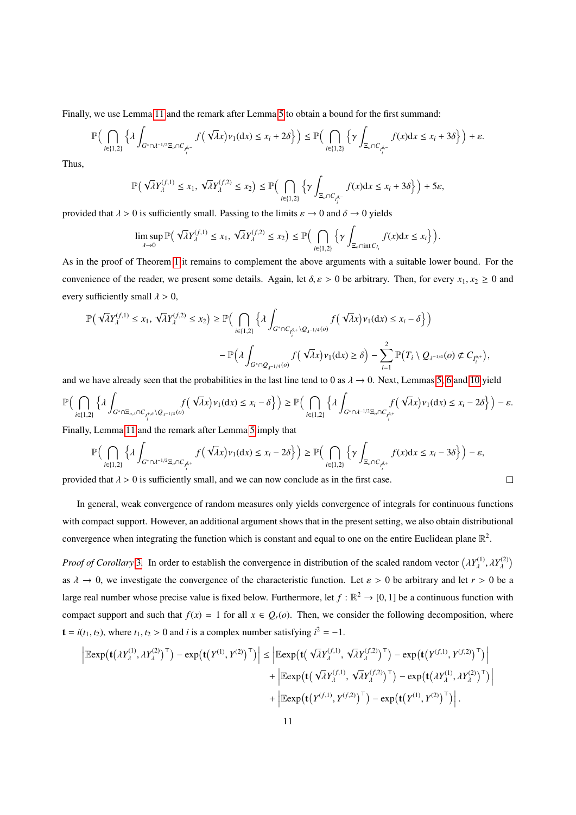Finally, we use Lemma [11](#page-8-3) and the remark after Lemma [5](#page-5-2) to obtain a bound for the first summand:

$$
\mathbb{P}\Big(\bigcap_{i\in\{1,2\}}\Big\{\lambda\int_{G^*\cap\lambda^{-1/2}\Xi_o\cap C_{I_i^{\delta,-}}}f\big(\sqrt{\lambda}x\big)\nu_1(\mathrm{d}x)\leq x_i+2\delta\Big\}\Big)\leq \mathbb{P}\Big(\bigcap_{i\in\{1,2\}}\Big\{\gamma\int_{\Xi_o\cap C_{I_i^{\delta,-}}}f(x)\mathrm{d}x\leq x_i+3\delta\Big\}\Big)+\varepsilon.
$$

Thus,

$$
\mathbb{P}\left(\sqrt{\lambda}Y_{\lambda}^{(f,1)} \leq x_1, \sqrt{\lambda}Y_{\lambda}^{(f,2)} \leq x_2\right) \leq \mathbb{P}\left(\bigcap_{i \in \{1,2\}} \left\{\gamma \int_{\Xi_o \cap C_{I_i^{\delta,-}}} f(x)dx \leq x_i + 3\delta\right\}\right) + 5\varepsilon,
$$

provided that  $\lambda > 0$  is sufficiently small. Passing to the limits  $\varepsilon \to 0$  and  $\delta \to 0$  yields

$$
\limsup_{\lambda \to 0} \mathbb{P} \big( \sqrt{\lambda} Y_{\lambda}^{(f,1)} \leq x_1, \sqrt{\lambda} Y_{\lambda}^{(f,2)} \leq x_2 \big) \leq \mathbb{P} \big( \bigcap_{i \in \{1,2\}} \Big\{ \gamma \int_{\Xi_o \cap \text{int } C_{I_i}} f(x) dx \leq x_i \Big\} \big).
$$

As in the proof of Theorem [1](#page-4-0) it remains to complement the above arguments with a suitable lower bound. For the convenience of the reader, we present some details. Again, let  $\delta, \varepsilon > 0$  be arbitrary. Then, for every  $x_1, x_2 \ge 0$  and every sufficiently small  $\lambda > 0$ ,

$$
\begin{split} \mathbb{P}\Big(\sqrt{\lambda}Y^{(f,1)}_{\boldsymbol{\lambda}}\leq x_{1},\sqrt{\lambda}Y^{(f,2)}_{\boldsymbol{\lambda}}\leq x_{2}\Big) &\geq \mathbb{P}\Big(\bigcap_{i\in\{1,2\}}\Big\{\lambda\int_{G^{*}\cap C_{I^{\delta,+}_i}\setminus Q_{\boldsymbol{\lambda}^{-1/4}}(o)}f\Big(\sqrt{\lambda}x\Big)\nu_1(\mathrm{d}x)\leq x_{i}-\delta\Big\}\Big)\\ &-\mathbb{P}\Big(\lambda\int_{G^{*}\cap Q_{\boldsymbol{\lambda}^{-1/4}}(o)}f\Big(\sqrt{\lambda}x\Big)\nu_1(\mathrm{d}x)\geq \delta\Big)-\sum_{i=1}^2\mathbb{P}\Big(T_i\setminus Q_{\boldsymbol{\lambda}^{-1/4}}(o)\not\subset C_{I^{\delta,+}_i}\Big), \end{split}
$$

and we have already seen that the probabilities in the last line tend to 0 as  $\lambda \to 0$ . Next, Lemmas [5,](#page-5-2) [6](#page-5-1) and [10](#page-7-1) yield

$$
\mathbb{P}\Big(\bigcap_{i\in\{1,2\}}\Big\{\lambda\int_{G^*\cap \Xi_{o,\lambda}\cap C_{I_i^{+,\delta}}\backslash Q_{\lambda^{-1/4}}(o)}f\big(\sqrt{\lambda}x\big)\nu_1(\text{d} x)\leq x_i-\delta\Big\}\Big)\geq \mathbb{P}\Big(\bigcap_{i\in\{1,2\}}\Big\{\lambda\int_{G^*\cap \lambda^{-1/2}\Xi_o\cap C_{I_i^{\delta,+}}}f\big(\sqrt{\lambda}x\big)\nu_1(\text{d} x)\leq x_i-2\delta\Big\}\Big)-\varepsilon.
$$

Finally, Lemma [11](#page-8-3) and the remark after Lemma [5](#page-5-2) imply that

$$
\mathbb{P}\Big(\bigcap_{i\in\{1,2\}}\Big\{\lambda\int_{G^*\cap\lambda^{-1/2}\Xi_o\cap C_{\rho_i^{\delta,+}}}f\big(\sqrt{\lambda}x\big)\nu_1(\mathrm{d}x)\leq x_i-2\delta\Big\}\Big)\geq \mathbb{P}\Big(\bigcap_{i\in\{1,2\}}\Big\{\gamma\int_{\Xi_o\cap C_{\rho_i^{\delta,+}}}f(x)\mathrm{d}x\leq x_i-3\delta\Big\}\Big)-\varepsilon,
$$

 $\Box$ 

provided that  $\lambda > 0$  is sufficiently small, and we can now conclude as in the first case.

In general, weak convergence of random measures only yields convergence of integrals for continuous functions with compact support. However, an additional argument shows that in the present setting, we also obtain distributional convergence when integrating the function which is constant and equal to one on the entire Euclidean plane  $\mathbb{R}^2$ .

*Proof of Corollary* [3](#page-4-3). In order to establish the convergence in distribution of the scaled random vector  $(\lambda Y_{\lambda}^{(1)}$  $\lambda^{(1)}, \lambda Y_{\lambda}^{(2)}$  $\mathcal{E}$ as  $\lambda \to 0$ , we investigate the convergence of the characteristic function. Let  $\varepsilon > 0$  be arbitrary and let  $r > 0$  be a large real number whose precise value is fixed below. Furthermore, let  $f : \mathbb{R}^2 \to [0, 1]$  be a continuous function with compact support and such that  $f(x) = 1$  for all  $x \in Q_r(o)$ . Then, we consider the following decomposition, where  $\mathbf{t} = i(t_1, t_2)$ , where  $t_1, t_2 > 0$  and *i* is a complex number satisfying  $i^2 = -1$ .

$$
\begin{aligned}\n\left| \mathbb{E} \exp \left( \mathbf{t} \left( \lambda Y_{\lambda}^{(1)}, \lambda Y_{\lambda}^{(2)} \right)^{\top} \right) - \exp \left( \mathbf{t} \left( Y^{(1)}, Y^{(2)} \right)^{\top} \right) \right| &\leq \left| \mathbb{E} \exp \left( \mathbf{t} \left( \sqrt{\lambda} Y_{\lambda}^{(f,1)}, \sqrt{\lambda} Y_{\lambda}^{(f,2)} \right)^{\top} \right) - \exp \left( \mathbf{t} \left( Y^{(f,1)}, Y^{(f,2)} \right)^{\top} \right) \right| \\
&\quad + \left| \mathbb{E} \exp \left( \mathbf{t} \left( \sqrt{\lambda} Y_{\lambda}^{(f,1)}, \sqrt{\lambda} Y_{\lambda}^{(f,2)} \right)^{\top} \right) - \exp \left( \mathbf{t} \left( \lambda Y_{\lambda}^{(1)}, \lambda Y_{\lambda}^{(2)} \right)^{\top} \right) \right| \\
&\quad + \left| \mathbb{E} \exp \left( \mathbf{t} \left( Y^{(f,1)}, Y^{(f,2)} \right)^{\top} \right) - \exp \left( \mathbf{t} \left( Y^{(1)}, Y^{(2)} \right)^{\top} \right) \right|.\n\end{aligned}
$$